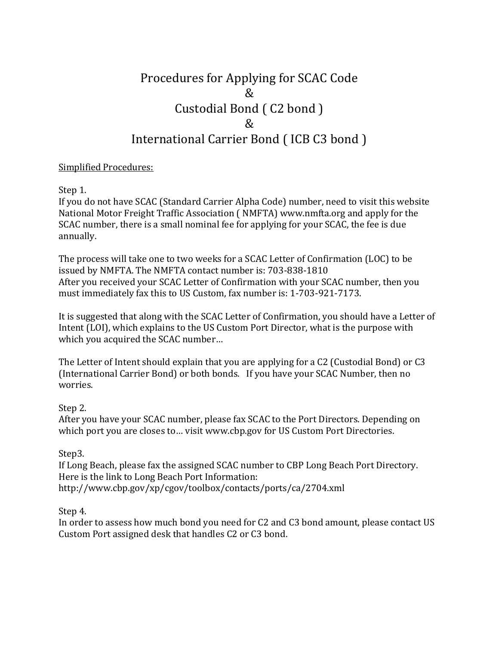# Procedures for Applying for SCAC Code & Custodial Bond ( C2 bond ) & International Carrier Bond ( ICB C3 bond )

#### Simplified Procedures:

Step 1.

If you do not have SCAC (Standard Carrier Alpha Code) number, need to visit this website National Motor Freight Traffic Association ( NMFTA) www.nmfta.org and apply for the SCAC number, there is a small nominal fee for applying for your SCAC, the fee is due annually.

The process will take one to two weeks for a SCAC Letter of Confirmation (LOC) to be issued by NMFTA. The NMFTA contact number is: 703-838-1810 After you received your SCAC Letter of Confirmation with your SCAC number, then you must immediately fax this to US Custom, fax number is: 1-703-921-7173.

It is suggested that along with the SCAC Letter of Confirmation, you should have a Letter of Intent (LOI), which explains to the US Custom Port Director, what is the purpose with which you acquired the SCAC number…

The Letter of Intent should explain that you are applying for a C2 (Custodial Bond) or C3 (International Carrier Bond) or both bonds. If you have your SCAC Number, then no worries.

## Step 2.

After you have your SCAC number, please fax SCAC to the Port Directors. Depending on which port you are closes to… visit www.cbp.gov for US Custom Port Directories.

## Step3.

If Long Beach, please fax the assigned SCAC number to CBP Long Beach Port Directory. Here is the link to Long Beach Port Information: http://www.cbp.gov/xp/cgov/toolbox/contacts/ports/ca/2704.xml

#### Step 4.

In order to assess how much bond you need for C2 and C3 bond amount, please contact US Custom Port assigned desk that handles C2 or C3 bond.